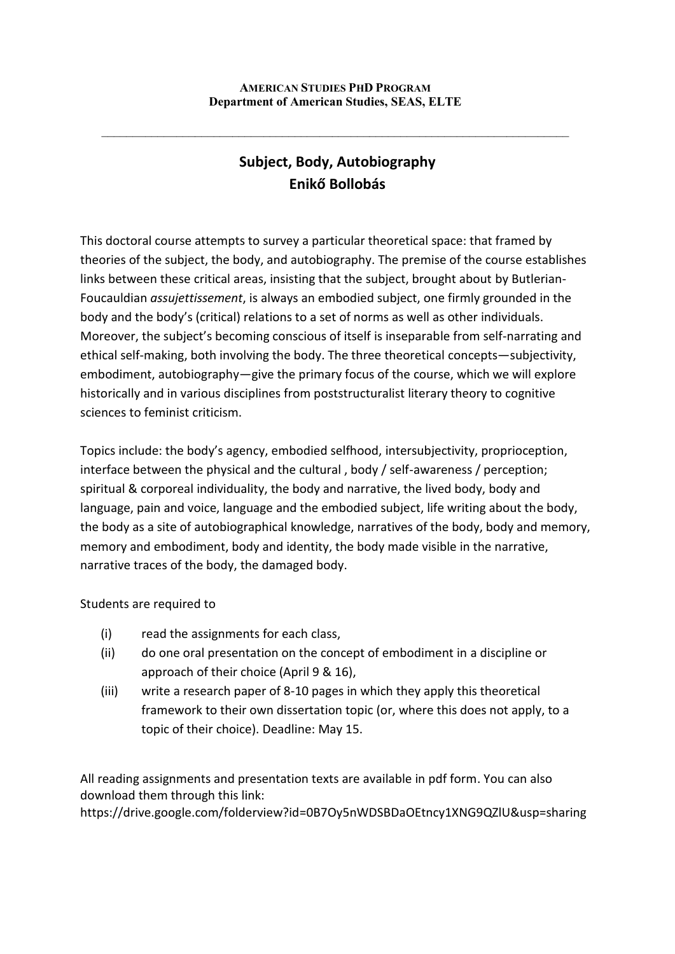$\mathcal{L}_\text{max} = \frac{1}{2} \sum_{i=1}^n \mathcal{L}_\text{max} = \frac{1}{2} \sum_{i=1}^n \mathcal{L}_\text{max} = \frac{1}{2} \sum_{i=1}^n \mathcal{L}_\text{max} = \frac{1}{2} \sum_{i=1}^n \mathcal{L}_\text{max} = \frac{1}{2} \sum_{i=1}^n \mathcal{L}_\text{max} = \frac{1}{2} \sum_{i=1}^n \mathcal{L}_\text{max} = \frac{1}{2} \sum_{i=1}^n \mathcal{L}_\text{max} = \frac{1}{2} \sum_{i=$ 

# **Subject, Body, Autobiography Enikő Bollobás**

This doctoral course attempts to survey a particular theoretical space: that framed by theories of the subject, the body, and autobiography. The premise of the course establishes links between these critical areas, insisting that the subject, brought about by Butlerian-Foucauldian *assujettissement*, is always an embodied subject, one firmly grounded in the body and the body's (critical) relations to a set of norms as well as other individuals. Moreover, the subject's becoming conscious of itself is inseparable from self-narrating and ethical self-making, both involving the body. The three theoretical concepts—subjectivity, embodiment, autobiography—give the primary focus of the course, which we will explore historically and in various disciplines from poststructuralist literary theory to cognitive sciences to feminist criticism.

Topics include: the body's agency, embodied selfhood, intersubjectivity, proprioception, interface between the physical and the cultural , body / self-awareness / perception; spiritual & corporeal individuality, the body and narrative, the lived body, body and language, pain and voice, language and the embodied subject, life writing about the body, the body as a site of autobiographical knowledge, narratives of the body, body and memory, memory and embodiment, body and identity, the body made visible in the narrative, narrative traces of the body, the damaged body.

Students are required to

- (i) read the assignments for each class,
- (ii) do one oral presentation on the concept of embodiment in a discipline or approach of their choice (April 9 & 16),
- (iii) write a research paper of 8-10 pages in which they apply this theoretical framework to their own dissertation topic (or, where this does not apply, to a topic of their choice). Deadline: May 15.

All reading assignments and presentation texts are available in pdf form. You can also download them through this link:

https://drive.google.com/folderview?id=0B7Oy5nWDSBDaOEtncy1XNG9QZlU&usp=sharing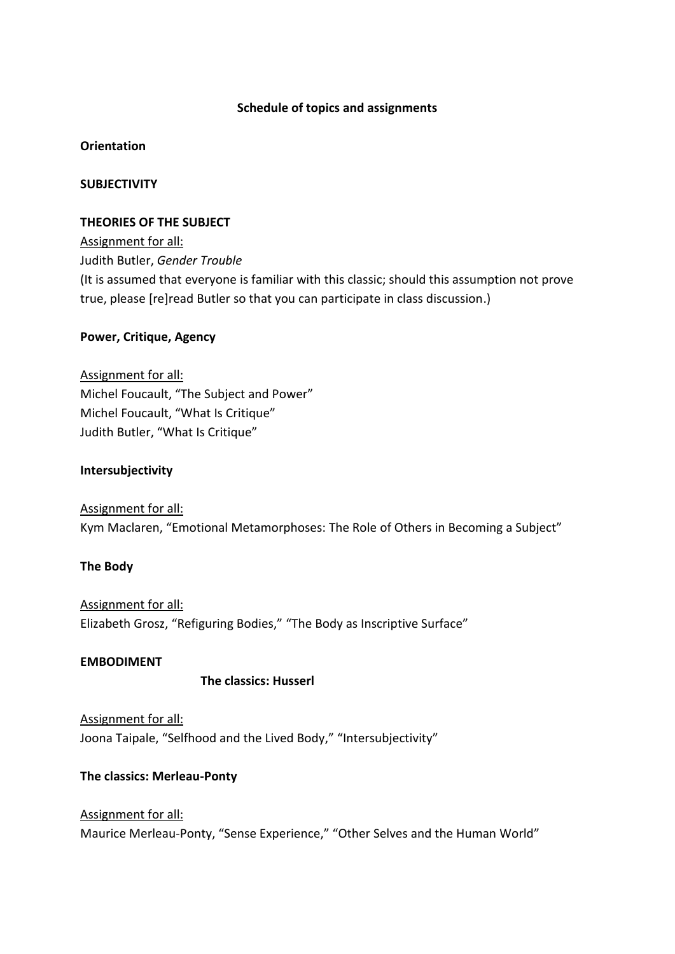#### **Schedule of topics and assignments**

#### **Orientation**

# **SUBJECTIVITY**

#### **THEORIES OF THE SUBJECT**

Assignment for all: Judith Butler, *Gender Trouble*  (It is assumed that everyone is familiar with this classic; should this assumption not prove true, please [re]read Butler so that you can participate in class discussion.)

# **Power, Critique, Agency**

Assignment for all: Michel Foucault, "The Subject and Power" Michel Foucault, "What Is Critique" Judith Butler, "What Is Critique"

# **Intersubjectivity**

Assignment for all: Kym Maclaren, "Emotional Metamorphoses: The Role of Others in Becoming a Subject"

#### **The Body**

Assignment for all: Elizabeth Grosz, "Refiguring Bodies," "The Body as Inscriptive Surface"

#### **EMBODIMENT**

#### **The classics: Husserl**

Assignment for all: Joona Taipale, "Selfhood and the Lived Body," "Intersubjectivity"

#### **The classics: Merleau-Ponty**

Assignment for all: Maurice Merleau-Ponty, "Sense Experience," "Other Selves and the Human World"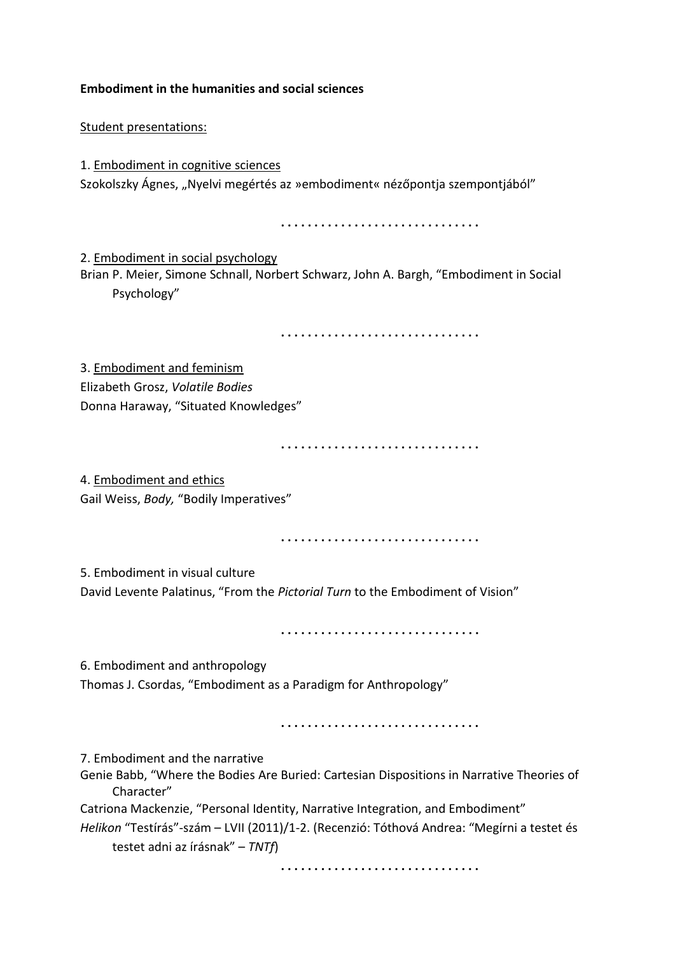**Embodiment in the humanities and social sciences**

Student presentations:

1. Embodiment in cognitive sciences Szokolszky Ágnes, "Nyelvi megértés az »embodiment« nézőpontja szempontjából"

**. . . . . . . . . . . . . . . . . . . . . . . . . . . . . .** 

2. Embodiment in social psychology

Brian P. Meier, Simone Schnall, Norbert Schwarz, John A. Bargh, "Embodiment in Social Psychology"

**. . . . . . . . . . . . . . . . . . . . . . . . . . . . . .** 

3. Embodiment and feminism Elizabeth Grosz, *Volatile Bodies* Donna Haraway, "Situated Knowledges"

**. . . . . . . . . . . . . . . . . . . . . . . . . . . . . .** 

4. Embodiment and ethics Gail Weiss, *Body,* "Bodily Imperatives"

**. . . . . . . . . . . . . . . . . . . . . . . . . . . . . .** 

5. Embodiment in visual culture

David Levente Palatinus, "From the *Pictorial Turn* to the Embodiment of Vision"

**. . . . . . . . . . . . . . . . . . . . . . . . . . . . . .** 

6. Embodiment and anthropology

Thomas J. Csordas, "Embodiment as a Paradigm for Anthropology"

**. . . . . . . . . . . . . . . . . . . . . . . . . . . . . .** 

7. Embodiment and the narrative

Genie Babb, "Where the Bodies Are Buried: Cartesian Dispositions in Narrative Theories of Character"

Catriona Mackenzie, "Personal Identity, Narrative Integration, and Embodiment"

*Helikon* "Testírás"-szám – LVII (2011)/1-2. (Recenzió: Tóthová Andrea: "Megírni a testet és testet adni az írásnak" – *TNTf*)

**. . . . . . . . . . . . . . . . . . . . . . . . . . . . . .**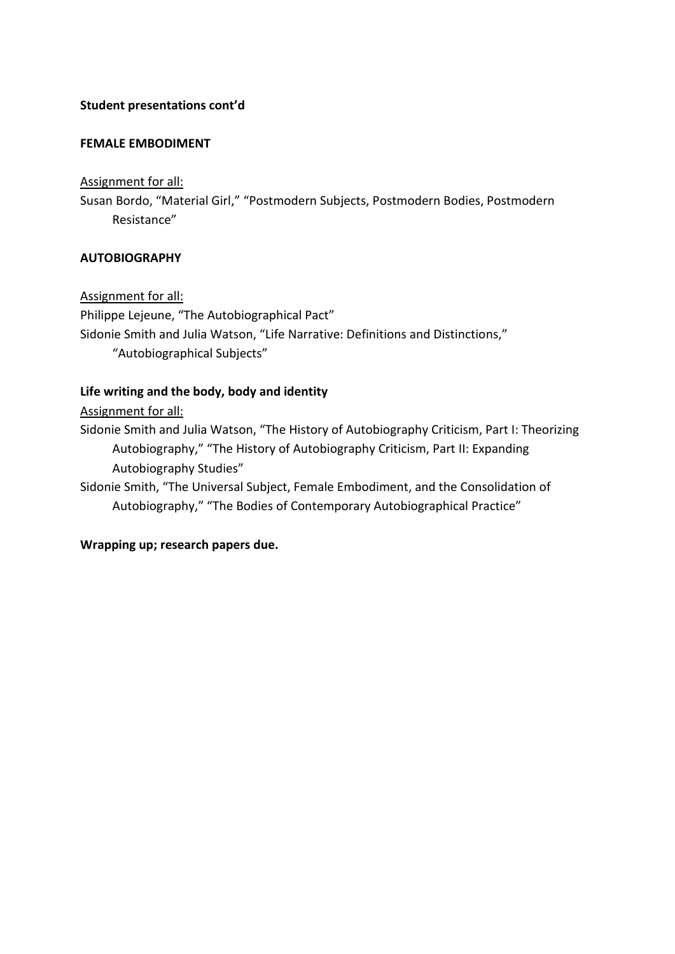# **Student presentations cont'd**

#### **FEMALE EMBODIMENT**

#### Assignment for all:

Susan Bordo, "Material Girl," "Postmodern Subjects, Postmodern Bodies, Postmodern Resistance"

# **AUTOBIOGRAPHY**

Assignment for all: Philippe Lejeune, "The Autobiographical Pact" Sidonie Smith and Julia Watson, "Life Narrative: Definitions and Distinctions," "Autobiographical Subjects"

# **Life writing and the body, body and identity**

Assignment for all:

Sidonie Smith and Julia Watson, "The History of Autobiography Criticism, Part I: Theorizing Autobiography," "The History of Autobiography Criticism, Part II: Expanding Autobiography Studies"

Sidonie Smith, "The Universal Subject, Female Embodiment, and the Consolidation of Autobiography," "The Bodies of Contemporary Autobiographical Practice"

# **Wrapping up; research papers due.**